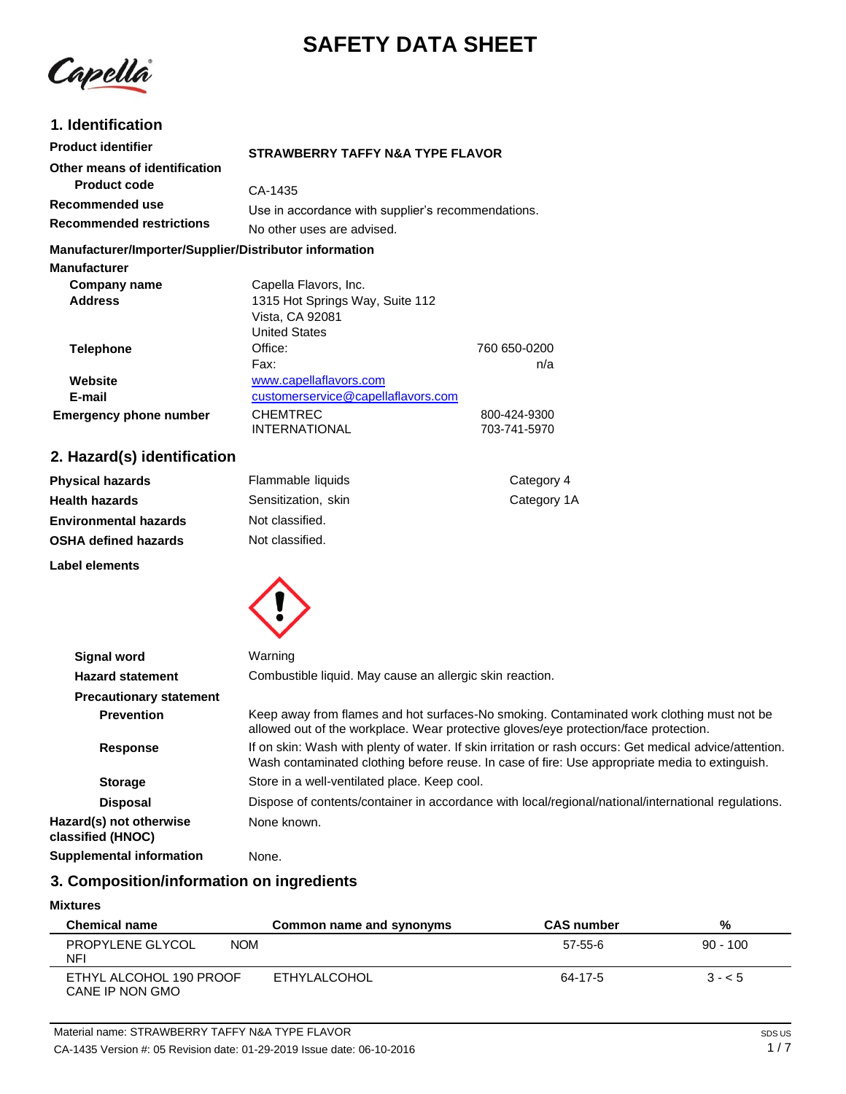# **SAFETY DATA SHEET**

Capella

## **1. Identification**

| <b>Product identifier</b>                                                     | <b>STRAWBERRY TAFFY N&amp;A TYPE FLAVOR</b>        |  |
|-------------------------------------------------------------------------------|----------------------------------------------------|--|
| Other means of identification                                                 |                                                    |  |
| <b>Product code</b>                                                           | CA-1435                                            |  |
| Recommended use                                                               | Use in accordance with supplier's recommendations. |  |
| <b>Recommended restrictions</b>                                               | No other uses are advised.                         |  |
| Manufacturer/Importer/Supplier/Distributor information<br><b>Manufacturer</b> |                                                    |  |

| Company name                  | Capella Flavors, Inc.              |              |
|-------------------------------|------------------------------------|--------------|
| <b>Address</b>                | 1315 Hot Springs Way, Suite 112    |              |
|                               | Vista, CA 92081                    |              |
|                               | <b>United States</b>               |              |
| <b>Telephone</b>              | Office:                            | 760 650-0200 |
|                               | Fax:                               | n/a          |
| Website                       | www.capellaflavors.com             |              |
| E-mail                        | customerservice@capellaflavors.com |              |
| <b>Emergency phone number</b> | <b>CHEMTREC</b>                    | 800-424-9300 |
|                               | <b>INTERNATIONAL</b>               | 703-741-5970 |

## **2. Hazard(s) identification**

| <b>Physical hazards</b>      | Flammable liquids   | Category 4  |
|------------------------------|---------------------|-------------|
| <b>Health hazards</b>        | Sensitization, skin | Category 1A |
| <b>Environmental hazards</b> | Not classified.     |             |
| <b>OSHA defined hazards</b>  | Not classified.     |             |
| Label elements               |                     |             |



| <b>Signal word</b>                           | Warning                                                                                                                                                                                                   |
|----------------------------------------------|-----------------------------------------------------------------------------------------------------------------------------------------------------------------------------------------------------------|
| <b>Hazard statement</b>                      | Combustible liquid. May cause an allergic skin reaction.                                                                                                                                                  |
| <b>Precautionary statement</b>               |                                                                                                                                                                                                           |
| <b>Prevention</b>                            | Keep away from flames and hot surfaces-No smoking. Contaminated work clothing must not be<br>allowed out of the workplace. Wear protective gloves/eye protection/face protection.                         |
| <b>Response</b>                              | If on skin: Wash with plenty of water. If skin irritation or rash occurs: Get medical advice/attention.<br>Wash contaminated clothing before reuse. In case of fire: Use appropriate media to extinguish. |
| <b>Storage</b>                               | Store in a well-ventilated place. Keep cool.                                                                                                                                                              |
| <b>Disposal</b>                              | Dispose of contents/container in accordance with local/regional/national/international regulations.                                                                                                       |
| Hazard(s) not otherwise<br>classified (HNOC) | None known.                                                                                                                                                                                               |
| <b>Supplemental information</b>              | None.                                                                                                                                                                                                     |

## **3. Composition/information on ingredients**

#### **Mixtures**

| <b>Chemical name</b>                        | Common name and synonyms | <b>CAS</b> number | %          |
|---------------------------------------------|--------------------------|-------------------|------------|
| PROPYLENE GLYCOL<br><b>NOM</b><br><b>NF</b> |                          | 57-55-6           | $90 - 100$ |
| ETHYL ALCOHOL 190 PROOF<br>CANE IP NON GMO  | ETHYLALCOHOL             | 64-17-5           | $3 - 5$    |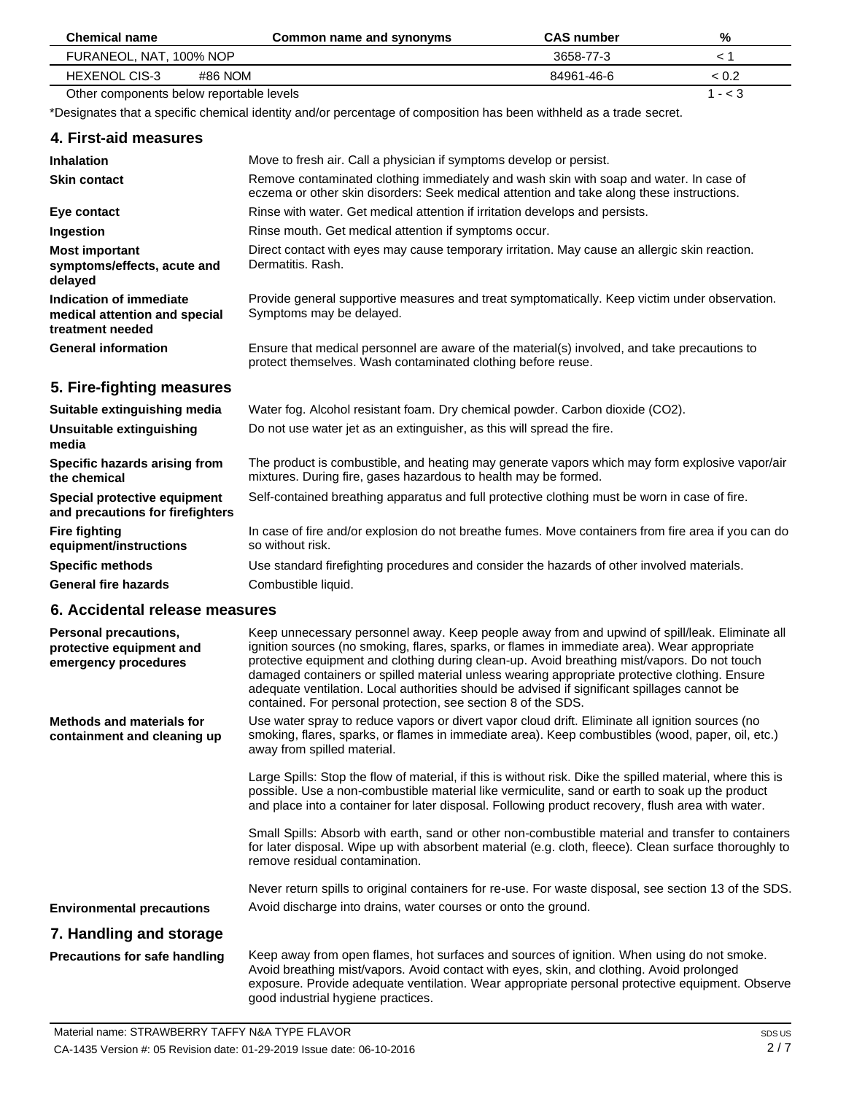| <b>Chemical name</b>                     | Common name and synonyms | <b>CAS</b> number | %         |
|------------------------------------------|--------------------------|-------------------|-----------|
| FURANEOL, NAT, 100% NOP                  |                          | 3658-77-3         |           |
| HEXENOL CIS-3<br>#86 NOM                 |                          | 84961-46-6        | < 0.2     |
| Other components below reportable levels |                          |                   | 1 - $<$ 3 |

\*Designates that a specific chemical identity and/or percentage of composition has been withheld as a trade secret.

## **4. First-aid measures**

| <b>Inhalation</b>                                                            | Move to fresh air. Call a physician if symptoms develop or persist.                                                                                                                 |
|------------------------------------------------------------------------------|-------------------------------------------------------------------------------------------------------------------------------------------------------------------------------------|
| <b>Skin contact</b>                                                          | Remove contaminated clothing immediately and wash skin with soap and water. In case of<br>eczema or other skin disorders: Seek medical attention and take along these instructions. |
| Eye contact                                                                  | Rinse with water. Get medical attention if irritation develops and persists.                                                                                                        |
| Ingestion                                                                    | Rinse mouth. Get medical attention if symptoms occur.                                                                                                                               |
| <b>Most important</b><br>symptoms/effects, acute and<br>delayed              | Direct contact with eyes may cause temporary irritation. May cause an allergic skin reaction.<br>Dermatitis, Rash.                                                                  |
| Indication of immediate<br>medical attention and special<br>treatment needed | Provide general supportive measures and treat symptomatically. Keep victim under observation.<br>Symptoms may be delayed.                                                           |
| <b>General information</b>                                                   | Ensure that medical personnel are aware of the material(s) involved, and take precautions to<br>protect themselves. Wash contaminated clothing before reuse.                        |
| 5. Fire-fighting measures                                                    |                                                                                                                                                                                     |
| Suitable extinguishing media                                                 | Water fog. Alcohol resistant foam. Dry chemical powder. Carbon dioxide (CO2).                                                                                                       |
| Unsuitable extinguishing<br>media                                            | Do not use water jet as an extinguisher, as this will spread the fire.                                                                                                              |
| Specific hazards arising from<br>the chemical                                | The product is combustible, and heating may generate vapors which may form explosive vapor/air<br>mixtures. During fire, gases hazardous to health may be formed.                   |
| Special protective equipment<br>and precautions for firefighters             | Self-contained breathing apparatus and full protective clothing must be worn in case of fire.                                                                                       |
| <b>Fire fighting</b><br>equipment/instructions                               | In case of fire and/or explosion do not breathe fumes. Move containers from fire area if you can do<br>so without risk.                                                             |
| <b>Specific methods</b>                                                      | Use standard firefighting procedures and consider the hazards of other involved materials.                                                                                          |

**General fire hazards**

## **6. Accidental release measures**

Combustible liquid.

| Personal precautions,<br>protective equipment and<br>emergency procedures | Keep unnecessary personnel away. Keep people away from and upwind of spill/leak. Eliminate all<br>ignition sources (no smoking, flares, sparks, or flames in immediate area). Wear appropriate<br>protective equipment and clothing during clean-up. Avoid breathing mist/vapors. Do not touch<br>damaged containers or spilled material unless wearing appropriate protective clothing. Ensure<br>adequate ventilation. Local authorities should be advised if significant spillages cannot be<br>contained. For personal protection, see section 8 of the SDS. |
|---------------------------------------------------------------------------|------------------------------------------------------------------------------------------------------------------------------------------------------------------------------------------------------------------------------------------------------------------------------------------------------------------------------------------------------------------------------------------------------------------------------------------------------------------------------------------------------------------------------------------------------------------|
| <b>Methods and materials for</b><br>containment and cleaning up           | Use water spray to reduce vapors or divert vapor cloud drift. Eliminate all ignition sources (no<br>smoking, flares, sparks, or flames in immediate area). Keep combustibles (wood, paper, oil, etc.)<br>away from spilled material.                                                                                                                                                                                                                                                                                                                             |
|                                                                           | Large Spills: Stop the flow of material, if this is without risk. Dike the spilled material, where this is<br>possible. Use a non-combustible material like vermiculite, sand or earth to soak up the product<br>and place into a container for later disposal. Following product recovery, flush area with water.                                                                                                                                                                                                                                               |
|                                                                           | Small Spills: Absorb with earth, sand or other non-combustible material and transfer to containers<br>for later disposal. Wipe up with absorbent material (e.g. cloth, fleece). Clean surface thoroughly to<br>remove residual contamination.                                                                                                                                                                                                                                                                                                                    |
|                                                                           | Never return spills to original containers for re-use. For waste disposal, see section 13 of the SDS.                                                                                                                                                                                                                                                                                                                                                                                                                                                            |
| <b>Environmental precautions</b>                                          | Avoid discharge into drains, water courses or onto the ground.                                                                                                                                                                                                                                                                                                                                                                                                                                                                                                   |
| 7. Handling and storage                                                   |                                                                                                                                                                                                                                                                                                                                                                                                                                                                                                                                                                  |
| <b>Precautions for safe handling</b>                                      | Keep away from open flames, hot surfaces and sources of ignition. When using do not smoke.<br>Avoid breathing mist/vapors. Avoid contact with eyes, skin, and clothing. Avoid prolonged<br>exposure. Provide adequate ventilation. Wear appropriate personal protective equipment. Observe<br>good industrial hygiene practices.                                                                                                                                                                                                                                 |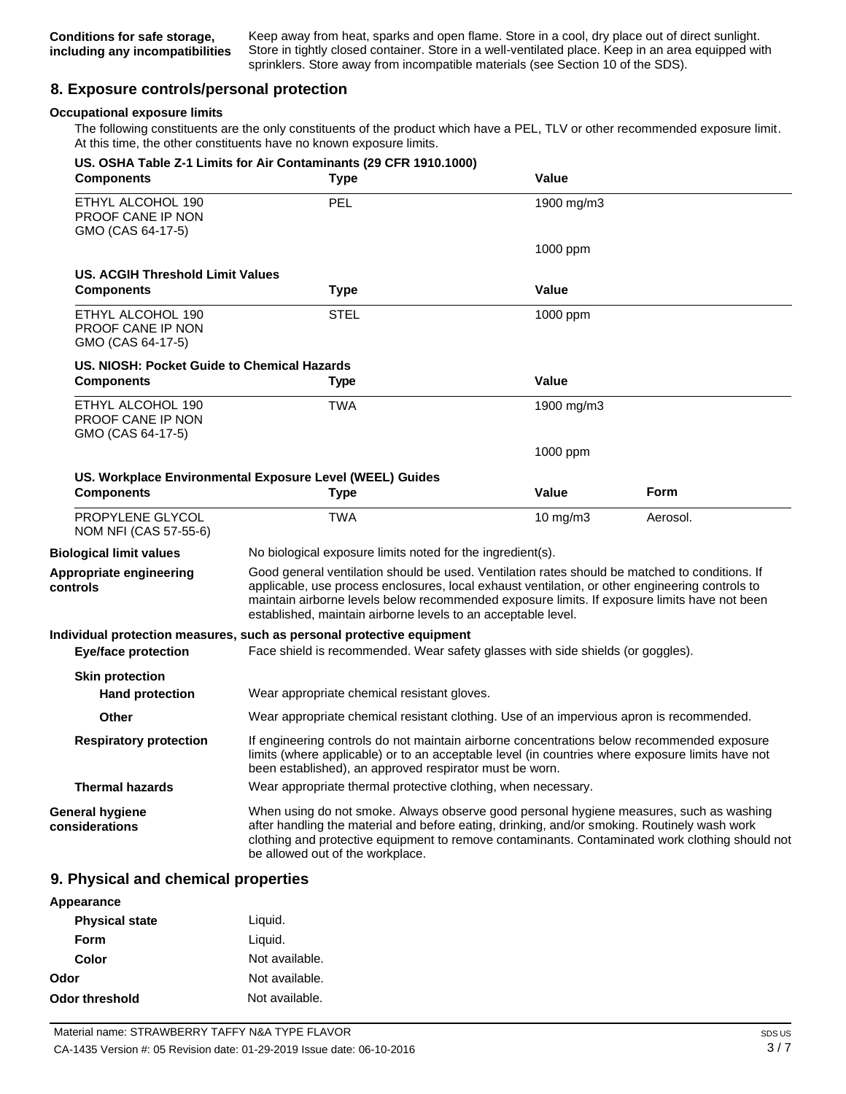Keep away from heat, sparks and open flame. Store in a cool, dry place out of direct sunlight. Store in tightly closed container. Store in a well-ventilated place. Keep in an area equipped with sprinklers. Store away from incompatible materials (see Section 10 of the SDS).

## **8. Exposure controls/personal protection**

#### **Occupational exposure limits**

The following constituents are the only constituents of the product which have a PEL, TLV or other recommended exposure limit. At this time, the other constituents have no known exposure limits.

| <b>Components</b>                                                  | US. OSHA Table Z-1 Limits for Air Contaminants (29 CFR 1910.1000)<br><b>Type</b>                                                                                                                                                                                                                                                                                   | Value        |          |
|--------------------------------------------------------------------|--------------------------------------------------------------------------------------------------------------------------------------------------------------------------------------------------------------------------------------------------------------------------------------------------------------------------------------------------------------------|--------------|----------|
| ETHYL ALCOHOL 190<br><b>PROOF CANE IP NON</b><br>GMO (CAS 64-17-5) | PEL                                                                                                                                                                                                                                                                                                                                                                | 1900 mg/m3   |          |
|                                                                    |                                                                                                                                                                                                                                                                                                                                                                    | 1000 ppm     |          |
| US. ACGIH Threshold Limit Values                                   |                                                                                                                                                                                                                                                                                                                                                                    |              |          |
| <b>Components</b>                                                  | <b>Type</b>                                                                                                                                                                                                                                                                                                                                                        | Value        |          |
| ETHYL ALCOHOL 190<br>PROOF CANE IP NON<br>GMO (CAS 64-17-5)        | <b>STEL</b>                                                                                                                                                                                                                                                                                                                                                        | 1000 ppm     |          |
| US. NIOSH: Pocket Guide to Chemical Hazards                        |                                                                                                                                                                                                                                                                                                                                                                    |              |          |
| <b>Components</b>                                                  | <b>Type</b>                                                                                                                                                                                                                                                                                                                                                        | Value        |          |
| ETHYL ALCOHOL 190<br><b>PROOF CANE IP NON</b><br>GMO (CAS 64-17-5) | TWA                                                                                                                                                                                                                                                                                                                                                                | 1900 mg/m3   |          |
|                                                                    |                                                                                                                                                                                                                                                                                                                                                                    | 1000 ppm     |          |
|                                                                    | US. Workplace Environmental Exposure Level (WEEL) Guides                                                                                                                                                                                                                                                                                                           |              |          |
| <b>Components</b>                                                  | Type                                                                                                                                                                                                                                                                                                                                                               | <b>Value</b> | Form     |
| PROPYLENE GLYCOL<br>NOM NFI (CAS 57-55-6)                          | <b>TWA</b>                                                                                                                                                                                                                                                                                                                                                         | 10 mg/m3     | Aerosol. |
| <b>Biological limit values</b>                                     | No biological exposure limits noted for the ingredient(s).                                                                                                                                                                                                                                                                                                         |              |          |
| Appropriate engineering<br>controls                                | Good general ventilation should be used. Ventilation rates should be matched to conditions. If<br>applicable, use process enclosures, local exhaust ventilation, or other engineering controls to<br>maintain airborne levels below recommended exposure limits. If exposure limits have not been<br>established, maintain airborne levels to an acceptable level. |              |          |
|                                                                    | Individual protection measures, such as personal protective equipment                                                                                                                                                                                                                                                                                              |              |          |
| <b>Eye/face protection</b>                                         | Face shield is recommended. Wear safety glasses with side shields (or goggles).                                                                                                                                                                                                                                                                                    |              |          |
| <b>Skin protection</b><br><b>Hand protection</b>                   | Wear appropriate chemical resistant gloves.                                                                                                                                                                                                                                                                                                                        |              |          |
| Other                                                              | Wear appropriate chemical resistant clothing. Use of an impervious apron is recommended.                                                                                                                                                                                                                                                                           |              |          |
| <b>Respiratory protection</b>                                      | If engineering controls do not maintain airborne concentrations below recommended exposure<br>limits (where applicable) or to an acceptable level (in countries where exposure limits have not<br>been established), an approved respirator must be worn.                                                                                                          |              |          |
| <b>Thermal hazards</b>                                             | Wear appropriate thermal protective clothing, when necessary.                                                                                                                                                                                                                                                                                                      |              |          |
| <b>General hygiene</b><br>considerations                           | When using do not smoke. Always observe good personal hygiene measures, such as washing<br>after handling the material and before eating, drinking, and/or smoking. Routinely wash work<br>clothing and protective equipment to remove contaminants. Contaminated work clothing should not<br>be allowed out of the workplace.                                     |              |          |

### **9. Physical and chemical properties**

| Appearance            |                |
|-----------------------|----------------|
| <b>Physical state</b> | Liquid.        |
| Form                  | Liguid.        |
| Color                 | Not available. |
| Odor                  | Not available. |
| Odor threshold        | Not available. |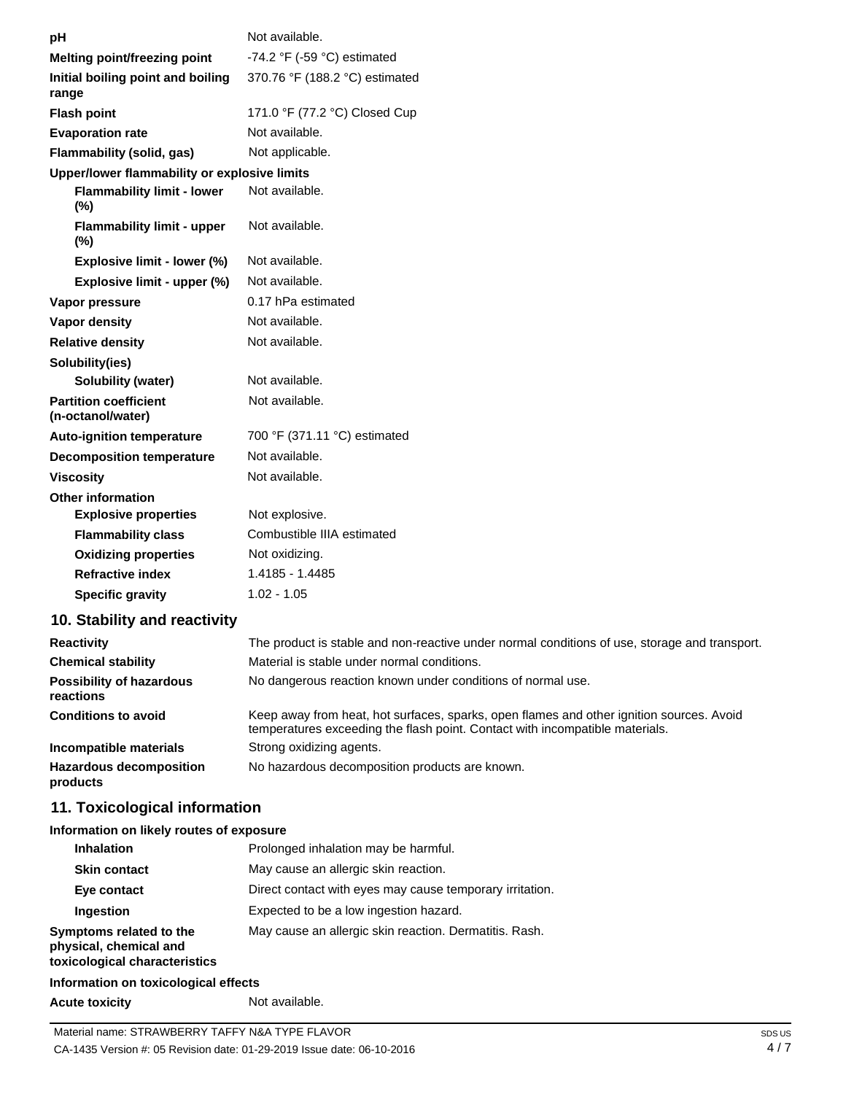| рH                                                | Not available.                                                                                                                                                           |
|---------------------------------------------------|--------------------------------------------------------------------------------------------------------------------------------------------------------------------------|
| Melting point/freezing point                      | -74.2 °F (-59 °C) estimated                                                                                                                                              |
| Initial boiling point and boiling<br>range        | 370.76 °F (188.2 °C) estimated                                                                                                                                           |
| <b>Flash point</b>                                | 171.0 °F (77.2 °C) Closed Cup                                                                                                                                            |
| <b>Evaporation rate</b>                           | Not available.                                                                                                                                                           |
| Flammability (solid, gas)                         | Not applicable.                                                                                                                                                          |
| Upper/lower flammability or explosive limits      |                                                                                                                                                                          |
| <b>Flammability limit - lower</b><br>(%)          | Not available.                                                                                                                                                           |
| <b>Flammability limit - upper</b><br>$(\%)$       | Not available.                                                                                                                                                           |
| Explosive limit - lower (%)                       | Not available.                                                                                                                                                           |
| Explosive limit - upper (%)                       | Not available.                                                                                                                                                           |
| Vapor pressure                                    | 0.17 hPa estimated                                                                                                                                                       |
| <b>Vapor density</b>                              | Not available.                                                                                                                                                           |
| <b>Relative density</b>                           | Not available.                                                                                                                                                           |
| Solubility(ies)                                   |                                                                                                                                                                          |
| <b>Solubility (water)</b>                         | Not available.                                                                                                                                                           |
| <b>Partition coefficient</b><br>(n-octanol/water) | Not available.                                                                                                                                                           |
| <b>Auto-ignition temperature</b>                  | 700 °F (371.11 °C) estimated                                                                                                                                             |
| <b>Decomposition temperature</b>                  | Not available.                                                                                                                                                           |
| <b>Viscosity</b>                                  | Not available.                                                                                                                                                           |
| <b>Other information</b>                          |                                                                                                                                                                          |
| <b>Explosive properties</b>                       | Not explosive.                                                                                                                                                           |
| <b>Flammability class</b>                         | Combustible IIIA estimated                                                                                                                                               |
| <b>Oxidizing properties</b>                       | Not oxidizing.                                                                                                                                                           |
| <b>Refractive index</b>                           | 1.4185 - 1.4485                                                                                                                                                          |
| <b>Specific gravity</b>                           | $1.02 - 1.05$                                                                                                                                                            |
| 10. Stability and reactivity                      |                                                                                                                                                                          |
| <b>Reactivity</b>                                 | The product is stable and non-reactive under normal conditions of use, storage and transport.                                                                            |
| <b>Chemical stability</b>                         | Material is stable under normal conditions.                                                                                                                              |
| <b>Possibility of hazardous</b><br>reactions      | No dangerous reaction known under conditions of normal use.                                                                                                              |
| <b>Conditions to avoid</b>                        | Keep away from heat, hot surfaces, sparks, open flames and other ignition sources. Avoid<br>temperatures exceeding the flash point. Contact with incompatible materials. |
| Incompatible materials                            | Strong oxidizing agents.                                                                                                                                                 |
| <b>Hazardous decomposition</b>                    | No hazardous decomposition products are known.                                                                                                                           |

## **11. Toxicological information**

**products**

#### **Information on likely routes of exposure**

| <b>Inhalation</b>                                                                  | Prolonged inhalation may be harmful.                     |
|------------------------------------------------------------------------------------|----------------------------------------------------------|
| <b>Skin contact</b>                                                                | May cause an allergic skin reaction.                     |
| Eye contact                                                                        | Direct contact with eyes may cause temporary irritation. |
| Ingestion                                                                          | Expected to be a low ingestion hazard.                   |
| Symptoms related to the<br>physical, chemical and<br>toxicological characteristics | May cause an allergic skin reaction. Dermatitis. Rash.   |

## **Information on toxicological effects**

**Acute toxicity** Not available.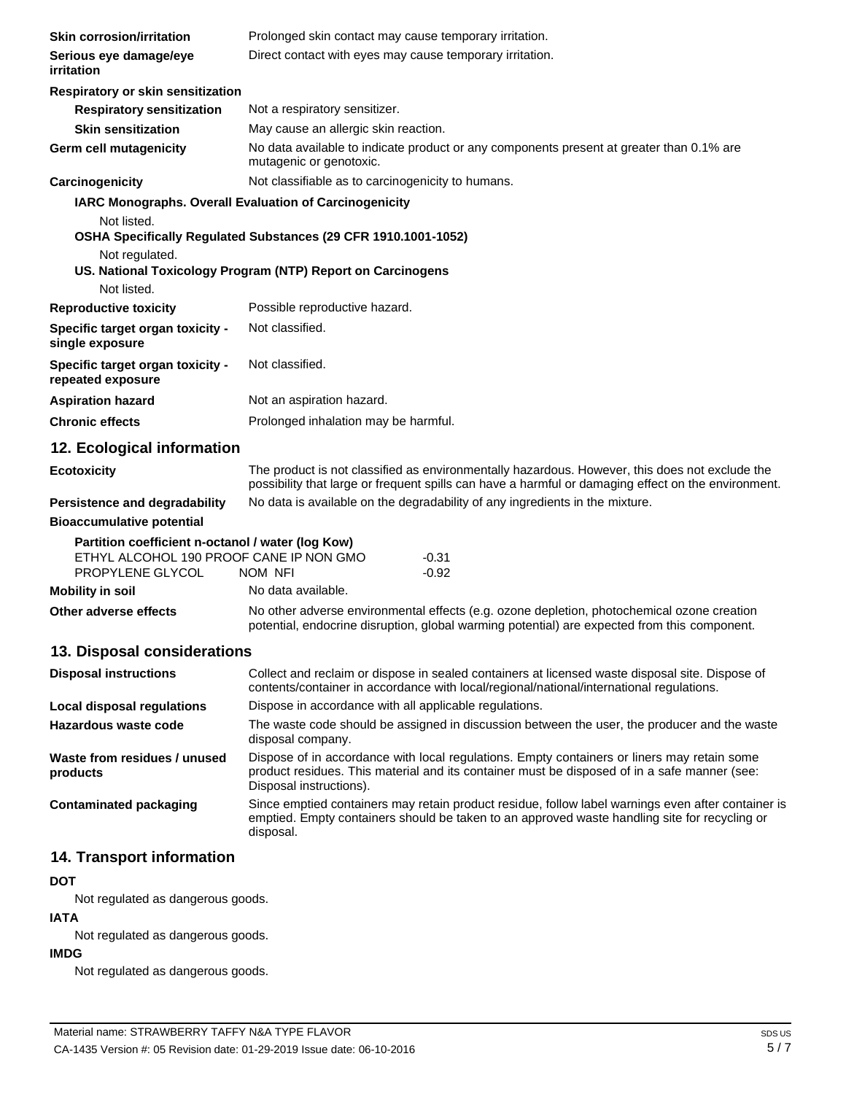| <b>Skin corrosion/irritation</b>                                                                                 | Prolonged skin contact may cause temporary irritation.                                                                                                                                                |  |
|------------------------------------------------------------------------------------------------------------------|-------------------------------------------------------------------------------------------------------------------------------------------------------------------------------------------------------|--|
| Serious eye damage/eye<br>irritation                                                                             | Direct contact with eyes may cause temporary irritation.                                                                                                                                              |  |
| Respiratory or skin sensitization                                                                                |                                                                                                                                                                                                       |  |
| <b>Respiratory sensitization</b>                                                                                 | Not a respiratory sensitizer.                                                                                                                                                                         |  |
| <b>Skin sensitization</b>                                                                                        | May cause an allergic skin reaction.                                                                                                                                                                  |  |
| Germ cell mutagenicity                                                                                           | No data available to indicate product or any components present at greater than 0.1% are<br>mutagenic or genotoxic.                                                                                   |  |
| Carcinogenicity                                                                                                  | Not classifiable as to carcinogenicity to humans.                                                                                                                                                     |  |
| IARC Monographs. Overall Evaluation of Carcinogenicity<br>Not listed.<br>Not regulated.<br>Not listed.           | OSHA Specifically Regulated Substances (29 CFR 1910.1001-1052)<br>US. National Toxicology Program (NTP) Report on Carcinogens                                                                         |  |
| <b>Reproductive toxicity</b>                                                                                     | Possible reproductive hazard.                                                                                                                                                                         |  |
| Specific target organ toxicity -<br>single exposure                                                              | Not classified.                                                                                                                                                                                       |  |
| Specific target organ toxicity -<br>repeated exposure                                                            | Not classified.                                                                                                                                                                                       |  |
| <b>Aspiration hazard</b>                                                                                         | Not an aspiration hazard.                                                                                                                                                                             |  |
| <b>Chronic effects</b>                                                                                           | Prolonged inhalation may be harmful.                                                                                                                                                                  |  |
| 12. Ecological information                                                                                       |                                                                                                                                                                                                       |  |
| <b>Ecotoxicity</b>                                                                                               | The product is not classified as environmentally hazardous. However, this does not exclude the<br>possibility that large or frequent spills can have a harmful or damaging effect on the environment. |  |
| <b>Persistence and degradability</b>                                                                             | No data is available on the degradability of any ingredients in the mixture.                                                                                                                          |  |
| <b>Bioaccumulative potential</b>                                                                                 |                                                                                                                                                                                                       |  |
| Partition coefficient n-octanol / water (log Kow)<br>ETHYL ALCOHOL 190 PROOF CANE IP NON GMO<br>PROPYLENE GLYCOL | $-0.31$<br>$-0.92$<br>NOM NFI                                                                                                                                                                         |  |
| <b>Mobility in soil</b>                                                                                          | No data available.                                                                                                                                                                                    |  |
| Other adverse effects                                                                                            | No other adverse environmental effects (e.g. ozone depletion, photochemical ozone creation<br>potential, endocrine disruption, global warming potential) are expected from this component.            |  |
| 13. Disposal considerations                                                                                      |                                                                                                                                                                                                       |  |
| <b>Disposal instructions</b>                                                                                     | Collect and reclaim or dispose in sealed containers at licensed waste disposal site. Dispose of<br>contents/container in accordance with local/regional/national/international regulations.           |  |
| Local disposal regulations                                                                                       | Dispose in accordance with all applicable regulations.                                                                                                                                                |  |
| Hazardous waste code                                                                                             | The waste code should be assigned in discussion between the user, the producer and the waste<br>disposal company.                                                                                     |  |

**Waste from residues / unused products** Dispose of in accordance with local regulations. Empty containers or liners may retain some product residues. This material and its container must be disposed of in a safe manner (see: Disposal instructions).

**Contaminated packaging** Since emptied containers may retain product residue, follow label warnings even after container is emptied. Empty containers should be taken to an approved waste handling site for recycling or disposal.

## **14. Transport information**

## **DOT**

Not regulated as dangerous goods.

## **IATA**

Not regulated as dangerous goods.

## **IMDG**

Not regulated as dangerous goods.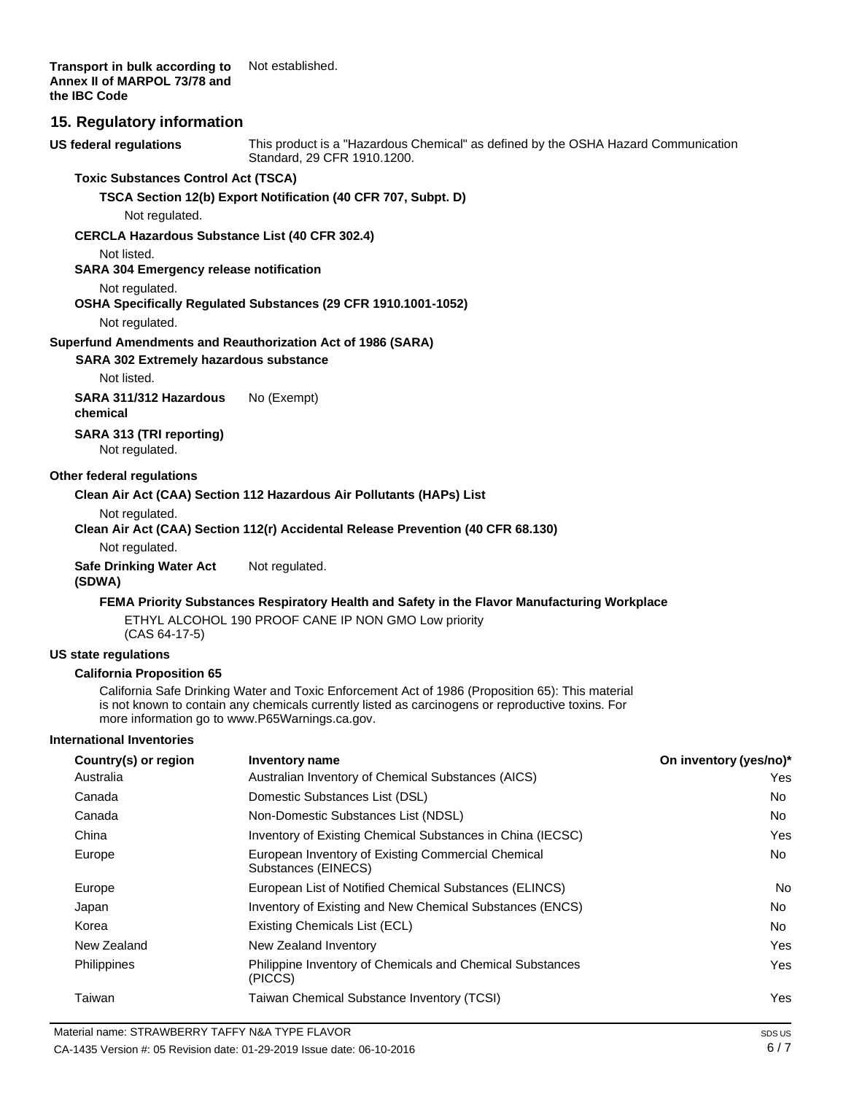**Transport in bulk according to Annex II of MARPOL 73/78 and the IBC Code** Not established.

### **15. Regulatory information**

**US federal regulations** This product is a "Hazardous Chemical" as defined by the OSHA Hazard Communication Standard, 29 CFR 1910.1200.

#### **Toxic Substances Control Act (TSCA)**

**TSCA Section 12(b) Export Notification (40 CFR 707, Subpt. D)**

Not regulated.

#### **CERCLA Hazardous Substance List (40 CFR 302.4)**

Not listed.

**SARA 304 Emergency release notification**

#### Not regulated.

### **OSHA Specifically Regulated Substances (29 CFR 1910.1001-1052)**

Not regulated.

#### **Superfund Amendments and Reauthorization Act of 1986 (SARA)**

**SARA 302 Extremely hazardous substance**

Not listed.

**SARA 311/312 Hazardous chemical** No (Exempt)

**SARA 313 (TRI reporting)**

Not regulated.

#### **Other federal regulations**

#### **Clean Air Act (CAA) Section 112 Hazardous Air Pollutants (HAPs) List**

Not regulated.

#### **Clean Air Act (CAA) Section 112(r) Accidental Release Prevention (40 CFR 68.130)**

Not regulated.

**Safe Drinking Water Act (SDWA)** Not regulated.

#### **FEMA Priority Substances Respiratory Health and Safety in the Flavor Manufacturing Workplace**

ETHYL ALCOHOL 190 PROOF CANE IP NON GMO Low priority (CAS 64-17-5)

#### **US state regulations**

#### **California Proposition 65**

California Safe Drinking Water and Toxic Enforcement Act of 1986 (Proposition 65): This material is not known to contain any chemicals currently listed as carcinogens or reproductive toxins. For more information go t[o www.P65Warnings.ca.gov.](http://www.p65warnings.ca.gov/)

#### **International Inventories**

| Country(s) or region | <b>Inventory name</b>                                                     | On inventory (yes/no)* |
|----------------------|---------------------------------------------------------------------------|------------------------|
| Australia            | Australian Inventory of Chemical Substances (AICS)                        | Yes.                   |
| Canada               | Domestic Substances List (DSL)                                            | No.                    |
| Canada               | Non-Domestic Substances List (NDSL)                                       | No                     |
| China                | Inventory of Existing Chemical Substances in China (IECSC)                | Yes                    |
| Europe               | European Inventory of Existing Commercial Chemical<br>Substances (EINECS) | No                     |
| Europe               | European List of Notified Chemical Substances (ELINCS)                    | No.                    |
| Japan                | Inventory of Existing and New Chemical Substances (ENCS)                  | No.                    |
| Korea                | Existing Chemicals List (ECL)                                             | No.                    |
| New Zealand          | New Zealand Inventory                                                     | Yes                    |
| Philippines          | Philippine Inventory of Chemicals and Chemical Substances<br>(PICCS)      | Yes                    |
| Taiwan               | Taiwan Chemical Substance Inventory (TCSI)                                | Yes                    |